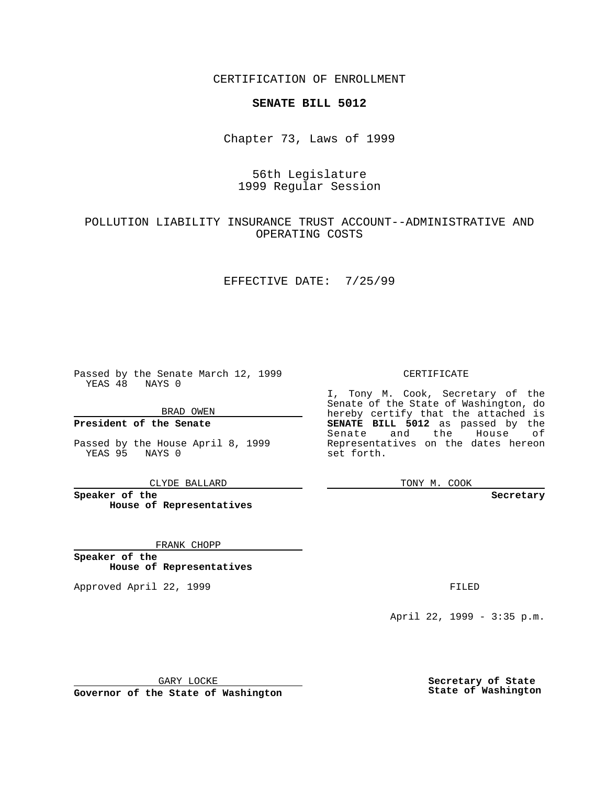CERTIFICATION OF ENROLLMENT

# **SENATE BILL 5012**

Chapter 73, Laws of 1999

# 56th Legislature 1999 Regular Session

### POLLUTION LIABILITY INSURANCE TRUST ACCOUNT--ADMINISTRATIVE AND OPERATING COSTS

### EFFECTIVE DATE: 7/25/99

Passed by the Senate March 12, 1999 YEAS 48 NAYS 0

BRAD OWEN

**President of the Senate**

Passed by the House April 8, 1999 YEAS 95 NAYS 0

CLYDE BALLARD

**Speaker of the House of Representatives**

FRANK CHOPP

**Speaker of the House of Representatives**

Approved April 22, 1999 **FILED** 

#### CERTIFICATE

I, Tony M. Cook, Secretary of the Senate of the State of Washington, do hereby certify that the attached is **SENATE BILL 5012** as passed by the Senate and the House of Representatives on the dates hereon set forth.

TONY M. COOK

**Secretary**

April 22, 1999 - 3:35 p.m.

GARY LOCKE

**Governor of the State of Washington**

**Secretary of State State of Washington**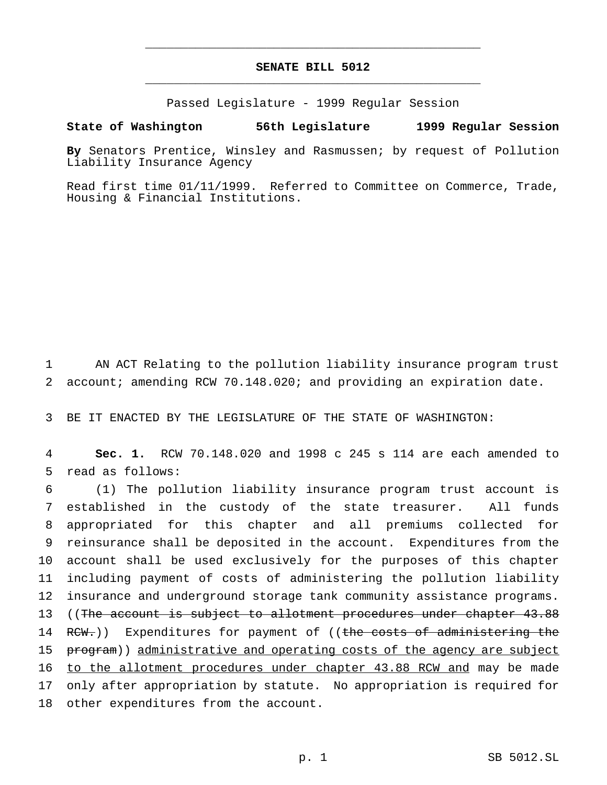# **SENATE BILL 5012** \_\_\_\_\_\_\_\_\_\_\_\_\_\_\_\_\_\_\_\_\_\_\_\_\_\_\_\_\_\_\_\_\_\_\_\_\_\_\_\_\_\_\_\_\_\_\_

\_\_\_\_\_\_\_\_\_\_\_\_\_\_\_\_\_\_\_\_\_\_\_\_\_\_\_\_\_\_\_\_\_\_\_\_\_\_\_\_\_\_\_\_\_\_\_

Passed Legislature - 1999 Regular Session

#### **State of Washington 56th Legislature 1999 Regular Session**

**By** Senators Prentice, Winsley and Rasmussen; by request of Pollution Liability Insurance Agency

Read first time 01/11/1999. Referred to Committee on Commerce, Trade, Housing & Financial Institutions.

1 AN ACT Relating to the pollution liability insurance program trust 2 account; amending RCW 70.148.020; and providing an expiration date.

3 BE IT ENACTED BY THE LEGISLATURE OF THE STATE OF WASHINGTON:

4 **Sec. 1.** RCW 70.148.020 and 1998 c 245 s 114 are each amended to 5 read as follows:

 (1) The pollution liability insurance program trust account is established in the custody of the state treasurer. All funds appropriated for this chapter and all premiums collected for reinsurance shall be deposited in the account. Expenditures from the account shall be used exclusively for the purposes of this chapter including payment of costs of administering the pollution liability insurance and underground storage tank community assistance programs. 13 ((The account is subject to allotment procedures under chapter 43.88) 14 RCW.)) Expenditures for payment of ((the costs of administering the 15 program)) administrative and operating costs of the agency are subject 16 to the allotment procedures under chapter 43.88 RCW and may be made only after appropriation by statute. No appropriation is required for other expenditures from the account.